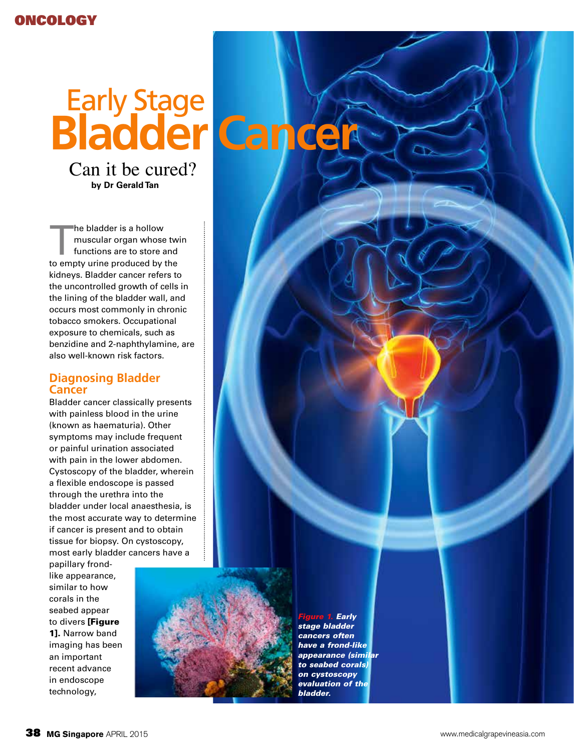# **Bladder Cancer** Early Stage

Can it be cured? **by Dr Gerald Tan**

The bladder is a hollow<br>muscular organ whose<br>functions are to store a<br>to empty uring produced by a muscular organ whose twin functions are to store and to empty urine produced by the kidneys. Bladder cancer refers to the uncontrolled growth of cells in the lining of the bladder wall, and occurs most commonly in chronic tobacco smokers. Occupational exposure to chemicals, such as benzidine and 2-naphthylamine, are also well-known risk factors.

## **Diagnosing Bladder Cancer**

Bladder cancer classically presents with painless blood in the urine (known as haematuria). Other symptoms may include frequent or painful urination associated with pain in the lower abdomen. Cystoscopy of the bladder, wherein a flexible endoscope is passed through the urethra into the bladder under local anaesthesia, is the most accurate way to determine if cancer is present and to obtain tissue for biopsy. On cystoscopy, most early bladder cancers have a

papillary frondlike appearance, similar to how corals in the seabed appear to divers [Figure 1]. Narrow band imaging has been an important recent advance in endoscope technology,



*Figure 1. Early stage bladder cancers often have a frond-like appearance (similar to seabed corals) on cystoscopy evaluation of the bladder.*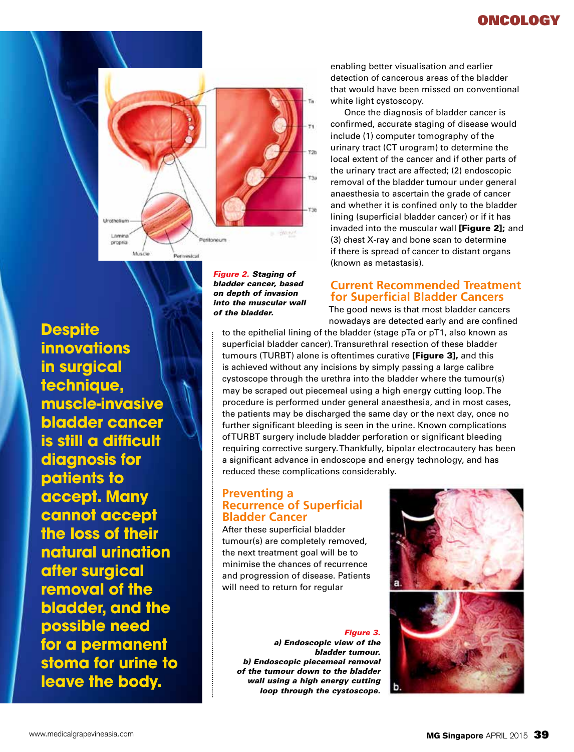## oncology



**Despite innovations in surgical technique, muscle-invasive bladder cancer is still a difficult diagnosis for patients to accept. Many cannot accept the loss of their natural urination after surgical removal of the bladder, and the possible need for a permanent stoma for urine to leave the body.**

*Figure 2. Staging of bladder cancer, based on depth of invasion into the muscular wall of the bladder.*

enabling better visualisation and earlier detection of cancerous areas of the bladder that would have been missed on conventional white light cystoscopy.

Once the diagnosis of bladder cancer is confirmed, accurate staging of disease would include (1) computer tomography of the urinary tract (CT urogram) to determine the local extent of the cancer and if other parts of the urinary tract are affected; (2) endoscopic removal of the bladder tumour under general anaesthesia to ascertain the grade of cancer and whether it is confined only to the bladder lining (superficial bladder cancer) or if it has invaded into the muscular wall [Figure 2]; and (3) chest X-ray and bone scan to determine if there is spread of cancer to distant organs (known as metastasis).

## **Current Recommended Treatment for Superficial Bladder Cancers**

The good news is that most bladder cancers nowadays are detected early and are confined

to the epithelial lining of the bladder (stage pTa or pT1, also known as superficial bladder cancer). Transurethral resection of these bladder tumours (TURBT) alone is oftentimes curative [Figure 3], and this is achieved without any incisions by simply passing a large calibre cystoscope through the urethra into the bladder where the tumour(s) may be scraped out piecemeal using a high energy cutting loop. The procedure is performed under general anaesthesia, and in most cases, the patients may be discharged the same day or the next day, once no further significant bleeding is seen in the urine. Known complications of TURBT surgery include bladder perforation or significant bleeding requiring corrective surgery. Thankfully, bipolar electrocautery has been a significant advance in endoscope and energy technology, and has reduced these complications considerably.

## **Preventing a Recurrence of Superficial Bladder Cancer**

After these superficial bladder tumour(s) are completely removed, the next treatment goal will be to minimise the chances of recurrence and progression of disease. Patients will need to return for regular

#### *Figure 3.*

*a) Endoscopic view of the bladder tumour. b) Endoscopic piecemeal removal of the tumour down to the bladder wall using a high energy cutting loop through the cystoscope.*

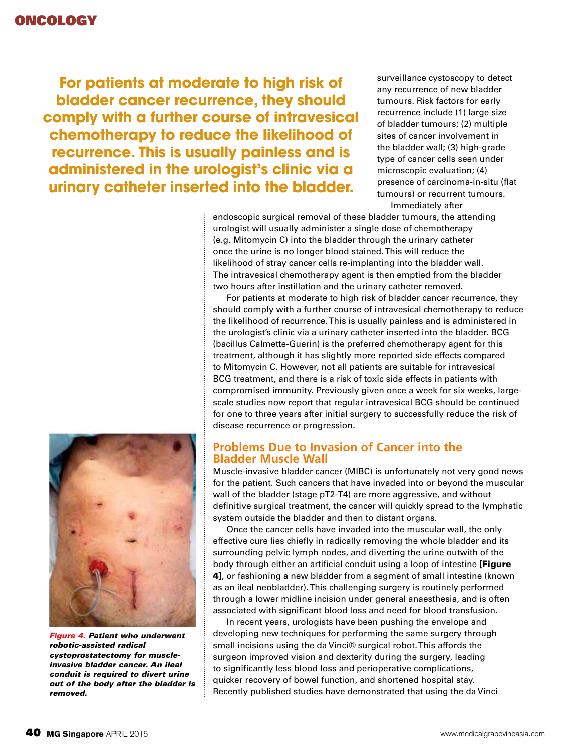**For patients at moderate to high risk of bladder cancer recurrence, they should comply with a further course of intravesical chemotherapy to reduce the likelihood of recurrence. This is usually painless and is administered in the urologist's clinic via a urinary catheter inserted into the bladder.**

surveillance cystoscopy to detect any recurrence of new bladder tumours. Risk factors for early recurrence include (1) large size of bladder tumours; (2) multiple sites of cancer involvement in the bladder wall; (3) high-grade type of cancer cells seen under microscopic evaluation; (4) presence of carcinoma-in-situ (flat tumours) or recurrent tumours. Immediately after

endoscopic surgical removal of these bladder tumours, the attending urologist will usually administer a single dose of chemotherapy (e.g. Mitomycin C) into the bladder through the urinary catheter once the urine is no longer blood stained. This will reduce the likelihood of stray cancer cells re-implanting into the bladder wall. The intravesical chemotherapy agent is then emptied from the bladder two hours after instillation and the urinary catheter removed.

For patients at moderate to high risk of bladder cancer recurrence, they should comply with a further course of intravesical chemotherapy to reduce the likelihood of recurrence. This is usually painless and is administered in the urologist's clinic via a urinary catheter inserted into the bladder. BCG (bacillus Calmette-Guerin) is the preferred chemotherapy agent for this treatment, although it has slightly more reported side effects compared to Mitomycin C. However, not all patients are suitable for intravesical BCG treatment, and there is a risk of toxic side effects in patients with compromised immunity. Previously given once a week for six weeks, largescale studies now report that regular intravesical BCG should be continued for one to three years after initial surgery to successfully reduce the risk of disease recurrence or progression.

## **Problems Due to Invasion of Cancer into the Bladder Muscle Wall**

Muscle-invasive bladder cancer (MIBC) is unfortunately not very good news for the patient. Such cancers that have invaded into or beyond the muscular wall of the bladder (stage pT2-T4) are more aggressive, and without definitive surgical treatment, the cancer will quickly spread to the lymphatic system outside the bladder and then to distant organs.

Once the cancer cells have invaded into the muscular wall, the only effective cure lies chiefly in radically removing the whole bladder and its surrounding pelvic lymph nodes, and diverting the urine outwith of the body through either an artificial conduit using a loop of intestine [Figure 4], or fashioning a new bladder from a segment of small intestine (known as an ileal neobladder). This challenging surgery is routinely performed through a lower midline incision under general anaesthesia, and is often associated with significant blood loss and need for blood transfusion.

In recent years, urologists have been pushing the envelope and developing new techniques for performing the same surgery through small incisions using the da Vinci® surgical robot. This affords the surgeon improved vision and dexterity during the surgery, leading to significantly less blood loss and perioperative complications, quicker recovery of bowel function, and shortened hospital stay. Recently published studies have demonstrated that using the da Vinci



*Figure 4. Patient who underwent robotic-assisted radical cystoprostatectomy for muscleinvasive bladder cancer. An ileal conduit is required to divert urine out of the body after the bladder is removed.*